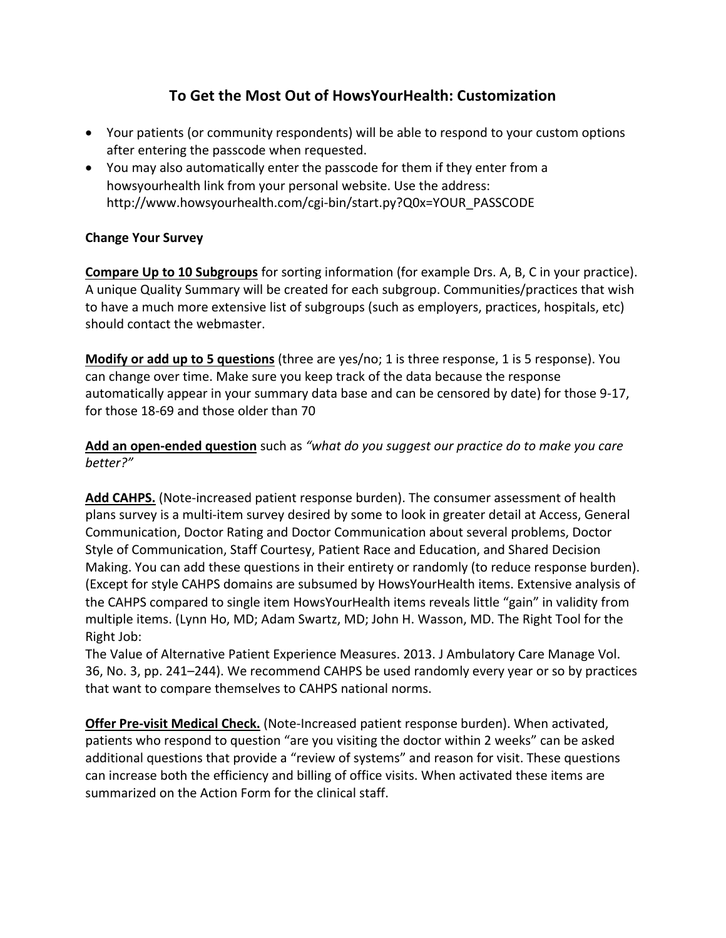# **To Get the Most Out of HowsYourHealth: Customization**

- Your patients (or community respondents) will be able to respond to your custom options after entering the passcode when requested.
- You may also automatically enter the passcode for them if they enter from a howsyourhealth link from your personal website. Use the address: http://www.howsyourhealth.com/cgi-bin/start.py?Q0x=YOUR\_PASSCODE

# **Change Your Survey**

**Compare Up to 10 Subgroups** for sorting information (for example Drs. A, B, C in your practice). A unique Quality Summary will be created for each subgroup. Communities/practices that wish to have a much more extensive list of subgroups (such as employers, practices, hospitals, etc) should contact the webmaster.

**Modify or add up to 5 questions** (three are yes/no; 1 is three response, 1 is 5 response). You can change over time. Make sure you keep track of the data because the response automatically appear in your summary data base and can be censored by date) for those 9-17, for those 18-69 and those older than 70

Add an open-ended question such as "what do you suggest our practice do to make you care *better?"* 

Add CAHPS. (Note-increased patient response burden). The consumer assessment of health plans survey is a multi-item survey desired by some to look in greater detail at Access, General Communication, Doctor Rating and Doctor Communication about several problems, Doctor Style of Communication, Staff Courtesy, Patient Race and Education, and Shared Decision Making. You can add these questions in their entirety or randomly (to reduce response burden). (Except for style CAHPS domains are subsumed by HowsYourHealth items. Extensive analysis of the CAHPS compared to single item HowsYourHealth items reveals little "gain" in validity from multiple items. (Lynn Ho, MD; Adam Swartz, MD; John H. Wasson, MD. The Right Tool for the Right Job:

The Value of Alternative Patient Experience Measures. 2013. J Ambulatory Care Manage Vol. 36, No. 3, pp. 241–244). We recommend CAHPS be used randomly every year or so by practices that want to compare themselves to CAHPS national norms.

**Offer Pre-visit Medical Check.** (Note-Increased patient response burden). When activated, patients who respond to question "are you visiting the doctor within 2 weeks" can be asked additional questions that provide a "review of systems" and reason for visit. These questions can increase both the efficiency and billing of office visits. When activated these items are summarized on the Action Form for the clinical staff.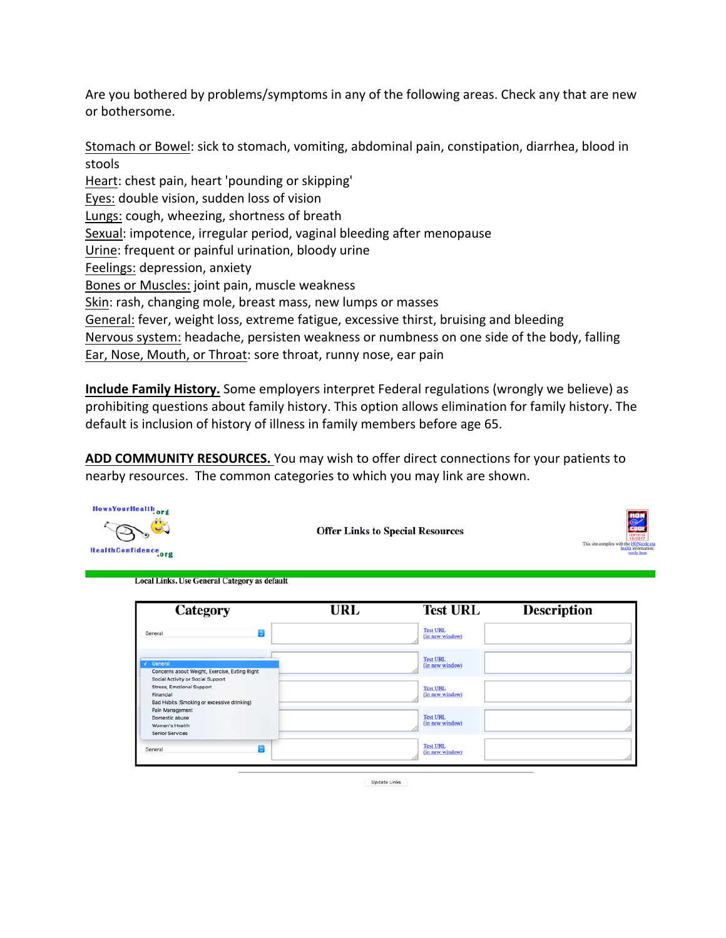Are you bothered by problems/symptoms in any of the following areas. Check any that are new or bothersome.

Stomach or Bowel: sick to stomach, vomiting, abdominal pain, constipation, diarrhea, blood in stools Heart: chest pain, heart 'pounding or skipping' Eyes: double vision, sudden loss of vision Lungs: cough, wheezing, shortness of breath Sexual: impotence, irregular period, vaginal bleeding after menopause Urine: frequent or painful urination, bloody urine Feelings: depression, anxiety Bones or Muscles: joint pain, muscle weakness Skin: rash, changing mole, breast mass, new lumps or masses General: fever, weight loss, extreme fatigue, excessive thirst, bruising and bleeding Nervous system: headache, persisten weakness or numbness on one side of the body, falling Ear, Nose, Mouth, or Throat: sore throat, runny nose, ear pain

**Include Family History.** Some employers interpret Federal regulations (wrongly we believe) as prohibiting questions about family history. This option allows elimination for family history. The default is inclusion of history of illness in family members before age 65.

**ADD COMMUNITY RESOURCES.** You may wish to offer direct connections for your patients to nearby resources. The common categories to which you may link are shown.



**Offer Links to Special Resources** 



**Local Links. Use General Category as default** 

| Category                                                                                                                         | URL | <b>Test URL</b>                    | <b>Description</b> |
|----------------------------------------------------------------------------------------------------------------------------------|-----|------------------------------------|--------------------|
| le<br>General                                                                                                                    |     | <b>Test URL</b><br>(in new window) |                    |
| $\sqrt{ }$ General<br>Concerns about Weight, Exercise, Eating Right                                                              |     | <b>Test URL</b><br>(in new window) |                    |
| Social Activity or Social Support<br><b>Stress, Emotional Support</b><br>Financial<br>Bad Habits (Smoking or excessive drinking) |     | <b>Test URL</b><br>(in new window) |                    |
| Pain Management<br>Domestic abuse<br>Women's Health<br><b>Senior Services</b>                                                    |     | <b>Test URL</b><br>(in new window) |                    |
| $\overline{\bullet}$<br>General                                                                                                  |     | <b>Test URL</b><br>(in new window) |                    |

Update Links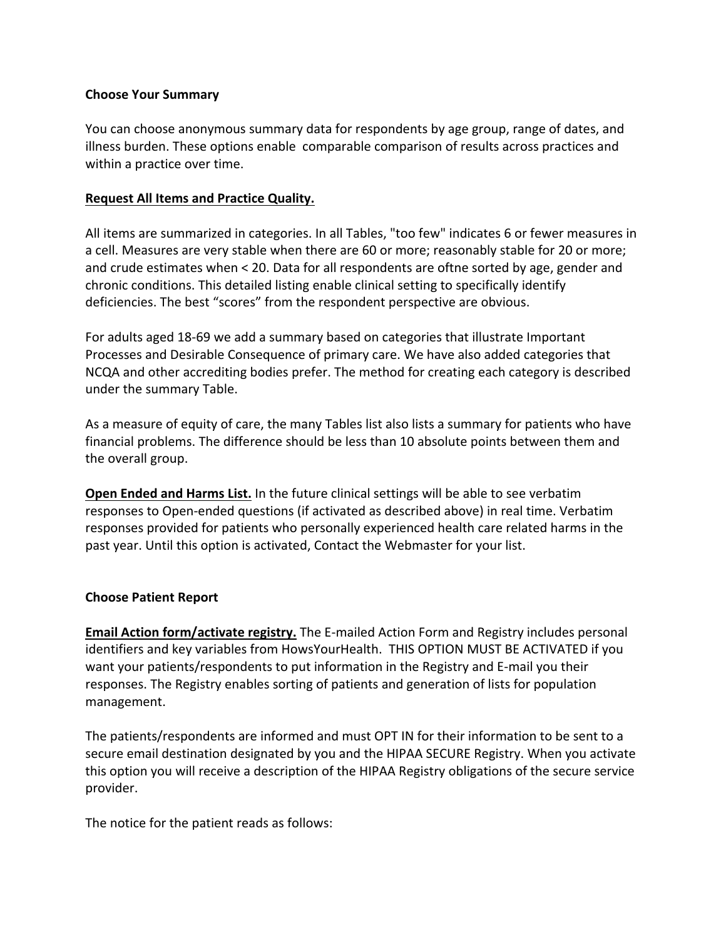#### **Choose Your Summary**

You can choose anonymous summary data for respondents by age group, range of dates, and illness burden. These options enable comparable comparison of results across practices and within a practice over time.

### **Request All Items and Practice Quality.**

All items are summarized in categories. In all Tables, "too few" indicates 6 or fewer measures in a cell. Measures are very stable when there are 60 or more; reasonably stable for 20 or more; and crude estimates when  $\lt$  20. Data for all respondents are oftne sorted by age, gender and chronic conditions. This detailed listing enable clinical setting to specifically identify deficiencies. The best "scores" from the respondent perspective are obvious.

For adults aged 18-69 we add a summary based on categories that illustrate Important Processes and Desirable Consequence of primary care. We have also added categories that NCQA and other accrediting bodies prefer. The method for creating each category is described under the summary Table.

As a measure of equity of care, the many Tables list also lists a summary for patients who have financial problems. The difference should be less than 10 absolute points between them and the overall group.

**Open Ended and Harms List.** In the future clinical settings will be able to see verbatim responses to Open-ended questions (if activated as described above) in real time. Verbatim responses provided for patients who personally experienced health care related harms in the past year. Until this option is activated, Contact the Webmaster for your list.

#### **Choose Patient Report**

**Email Action form/activate registry.** The E-mailed Action Form and Registry includes personal identifiers and key variables from HowsYourHealth. THIS OPTION MUST BE ACTIVATED if you want your patients/respondents to put information in the Registry and E-mail you their responses. The Registry enables sorting of patients and generation of lists for population management. 

The patients/respondents are informed and must OPT IN for their information to be sent to a secure email destination designated by you and the HIPAA SECURE Registry. When you activate this option you will receive a description of the HIPAA Registry obligations of the secure service provider.

The notice for the patient reads as follows: